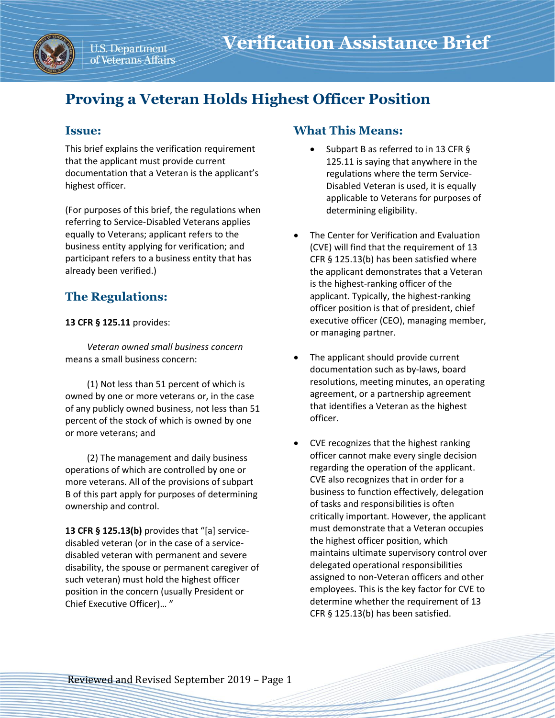

# **Proving a Veteran Holds Highest Officer Position**

## **Issue:**

This brief explains the verification requirement that the applicant must provide current documentation that a Veteran is the applicant's highest officer.

(For purposes of this brief, the regulations when referring to Service-Disabled Veterans applies equally to Veterans; applicant refers to the business entity applying for verification; and participant refers to a business entity that has already been verified.)

# **The Regulations:**

#### **13 CFR § 125.11** provides:

*Veteran owned small business concern* means a small business concern:

(1) Not less than 51 percent of which is owned by one or more veterans or, in the case of any publicly owned business, not less than 51 percent of the stock of which is owned by one or more veterans; and

(2) The management and daily business operations of which are controlled by one or more veterans. All of the provisions of subpart B of this part apply for purposes of determining ownership and control.

**13 CFR § 125.13(b)** provides that "[a] servicedisabled veteran (or in the case of a servicedisabled veteran with permanent and severe disability, the spouse or permanent caregiver of such veteran) must hold the highest officer position in the concern (usually President or Chief Executive Officer)… "

## **What This Means:**

- Subpart B as referred to in 13 CFR § 125.11 is saying that anywhere in the regulations where the term Service-Disabled Veteran is used, it is equally applicable to Veterans for purposes of determining eligibility.
- The Center for Verification and Evaluation (CVE) will find that the requirement of 13 CFR § 125.13(b) has been satisfied where the applicant demonstrates that a Veteran is the highest-ranking officer of the applicant. Typically, the highest-ranking officer position is that of president, chief executive officer (CEO), managing member, or managing partner.
- The applicant should provide current documentation such as by-laws, board resolutions, meeting minutes, an operating agreement, or a partnership agreement that identifies a Veteran as the highest officer.
- CVE recognizes that the highest ranking officer cannot make every single decision regarding the operation of the applicant. CVE also recognizes that in order for a business to function effectively, delegation of tasks and responsibilities is often critically important. However, the applicant must demonstrate that a Veteran occupies the highest officer position, which maintains ultimate supervisory control over delegated operational responsibilities assigned to non-Veteran officers and other employees. This is the key factor for CVE to determine whether the requirement of 13 CFR § 125.13(b) has been satisfied.